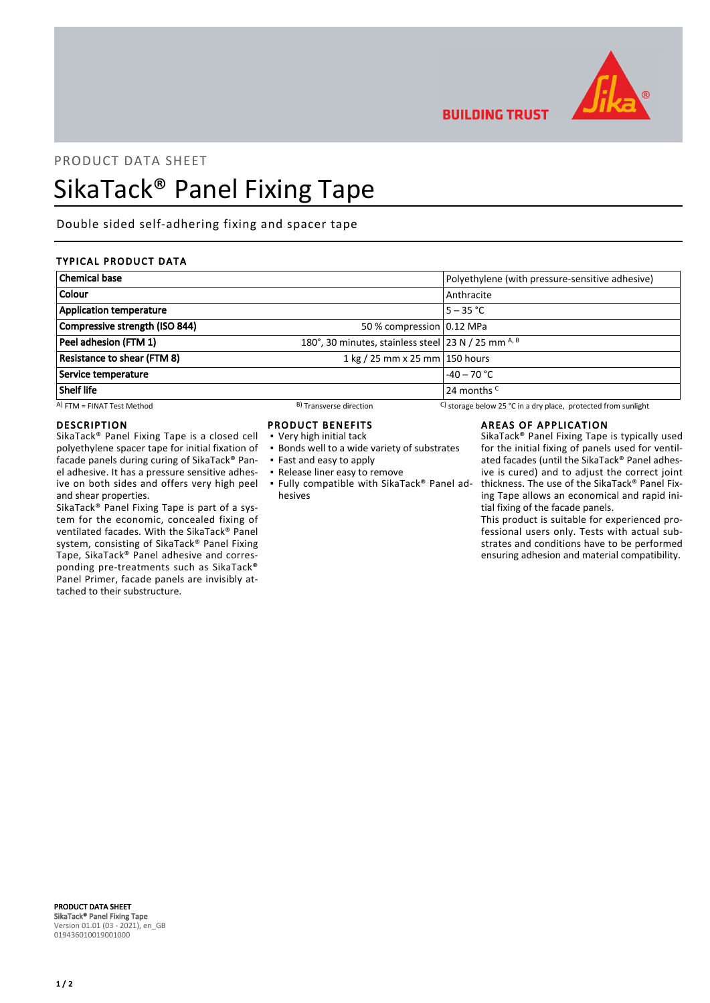

**BUILDING TRUST** 

## PRODUCT DATA SHEET

# SikaTack® Panel Fixing Tape

Double sided self-adhering fixing and spacer tape

## TYPICAL PRODUCT DATA

| <b>Chemical base</b>               |                                                     | Polyethylene (with pressure-sensitive adhesive)                          |  |
|------------------------------------|-----------------------------------------------------|--------------------------------------------------------------------------|--|
| <b>Colour</b>                      |                                                     | Anthracite                                                               |  |
| <b>Application temperature</b>     |                                                     | $5 - 35 °C$                                                              |  |
| Compressive strength (ISO 844)     | 50 % compression 0.12 MPa                           |                                                                          |  |
| Peel adhesion (FTM 1)              | 180°, 30 minutes, stainless steel 23 N / 25 mm A, B |                                                                          |  |
| <b>Resistance to shear (FTM 8)</b> | 1 kg / 25 mm x 25 mm 150 hours                      |                                                                          |  |
| Service temperature                | $-40 - 70$ °C                                       |                                                                          |  |
| Shelf life                         |                                                     | 24 months <sup>C</sup>                                                   |  |
| $(A)$ FTM = FINAT Test Method      | <sup>B</sup> ) Transverse direction                 | C) storage below 25 $^{\circ}$ C in a dry place, protected from sunlight |  |

#### DESCRIPTION

SikaTack® Panel Fixing Tape is a closed cell polyethylene spacer tape for initial fixation of facade panels during curing of SikaTack® Panel adhesive. It has a pressure sensitive adhesive on both sides and offers very high peel and shear properties.

SikaTack® Panel Fixing Tape is part of a system for the economic, concealed fixing of ventilated facades. With the SikaTack® Panel system, consisting of SikaTack® Panel Fixing Tape, SikaTack® Panel adhesive and corresponding pre-treatments such as SikaTack® Panel Primer, facade panels are invisibly attached to their substructure.

## PRODUCT BENEFITS

- Very high initial tack
- **Bonds well to a wide variety of substrates**
- Fast and easy to apply
- Release liner easy to remove
- Fully compatible with SikaTack® Panel ad-▪ hesives

### AREAS OF APPLICATION

SikaTack® Panel Fixing Tape is typically used for the initial fixing of panels used for ventilated facades (until the SikaTack® Panel adhesive is cured) and to adjust the correct joint thickness. The use of the SikaTack® Panel Fixing Tape allows an economical and rapid initial fixing of the facade panels.

This product is suitable for experienced professional users only. Tests with actual substrates and conditions have to be performed ensuring adhesion and material compatibility.

PRODUCT DATA SHEET SikaTack® Panel Fixing Tape Version 01.01 (03 - 2021), en\_GB 019436010019001000